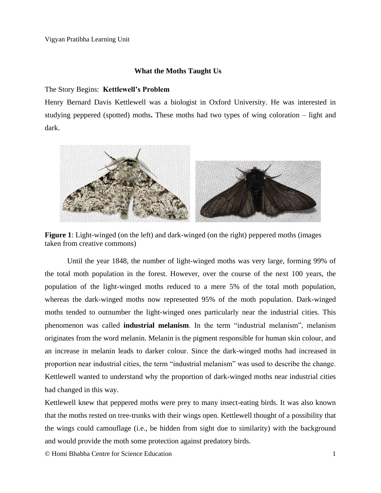## **What the Moths Taught Us**

### The Story Begins: **Kettlewell's Problem**

Henry Bernard Davis Kettlewell was a biologist in Oxford University. He was interested in studying peppered (spotted) moths**.** These moths had two types of wing coloration – light and dark.



**Figure 1**: Light-winged (on the left) and dark-winged (on the right) peppered moths (images taken from creative commons)

Until the year 1848, the number of light-winged moths was very large, forming 99% of the total moth population in the forest. However, over the course of the next 100 years, the population of the light-winged moths reduced to a mere 5% of the total moth population, whereas the dark-winged moths now represented 95% of the moth population. Dark-winged moths tended to outnumber the light-winged ones particularly near the industrial cities. This phenomenon was called **industrial melanism**. In the term "industrial melanism", melanism originates from the word melanin. Melanin is the pigment responsible for human skin colour, and an increase in melanin leads to darker colour. Since the dark-winged moths had increased in proportion near industrial cities, the term "industrial melanism" was used to describe the change. Kettlewell wanted to understand why the proportion of dark-winged moths near industrial cities had changed in this way.

Kettlewell knew that peppered moths were prey to many insect-eating birds. It was also known that the moths rested on tree-trunks with their wings open. Kettlewell thought of a possibility that the wings could camouflage (i.e., be hidden from sight due to similarity) with the background and would provide the moth some protection against predatory birds.

© Homi Bhabha Centre for Science Education 1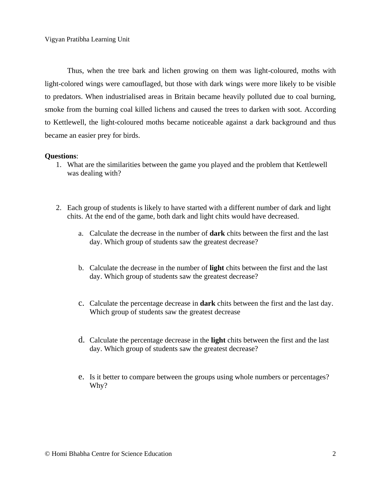Thus, when the tree bark and lichen growing on them was light-coloured, moths with light-colored wings were camouflaged, but those with dark wings were more likely to be visible to predators. When industrialised areas in Britain became heavily polluted due to coal burning, smoke from the burning coal killed lichens and caused the trees to darken with soot. According to Kettlewell, the light-coloured moths became noticeable against a dark background and thus became an easier prey for birds.

#### **Questions**:

- 1. What are the similarities between the game you played and the problem that Kettlewell was dealing with?
- 2. Each group of students is likely to have started with a different number of dark and light chits. At the end of the game, both dark and light chits would have decreased.
	- a. Calculate the decrease in the number of **dark** chits between the first and the last day. Which group of students saw the greatest decrease?
	- b. Calculate the decrease in the number of **light** chits between the first and the last day. Which group of students saw the greatest decrease?
	- c. Calculate the percentage decrease in **dark** chits between the first and the last day. Which group of students saw the greatest decrease
	- d. Calculate the percentage decrease in the **light** chits between the first and the last day. Which group of students saw the greatest decrease?
	- e. Is it better to compare between the groups using whole numbers or percentages? Why?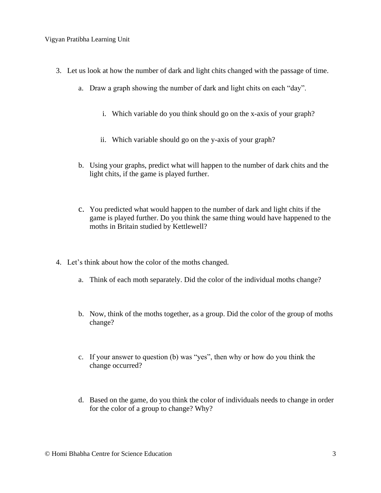Vigyan Pratibha Learning Unit

- 3. Let us look at how the number of dark and light chits changed with the passage of time.
	- a. Draw a graph showing the number of dark and light chits on each "day".
		- i. Which variable do you think should go on the x-axis of your graph?
		- ii. Which variable should go on the y-axis of your graph?
	- b. Using your graphs, predict what will happen to the number of dark chits and the light chits, if the game is played further.
	- c. You predicted what would happen to the number of dark and light chits if the game is played further. Do you think the same thing would have happened to the moths in Britain studied by Kettlewell?
- 4. Let's think about how the color of the moths changed.
	- a. Think of each moth separately. Did the color of the individual moths change?
	- b. Now, think of the moths together, as a group. Did the color of the group of moths change?
	- c. If your answer to question (b) was "yes", then why or how do you think the change occurred?
	- d. Based on the game, do you think the color of individuals needs to change in order for the color of a group to change? Why?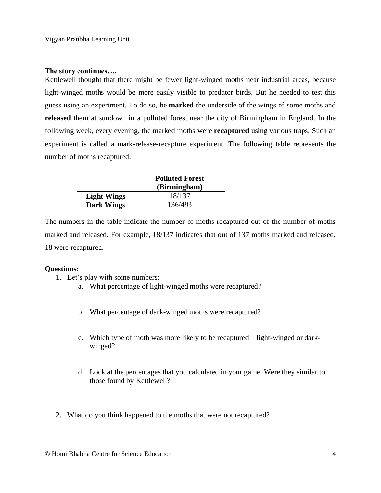#### **The story continues….**

Kettlewell thought that there might be fewer light-winged moths near industrial areas, because light-winged moths would be more easily visible to predator birds. But he needed to test this guess using an experiment. To do so, he **marked** the underside of the wings of some moths and **released** them at sundown in a polluted forest near the city of Birmingham in England. In the following week, every evening, the marked moths were **recaptured** using various traps. Such an experiment is called a mark-release-recapture experiment. The following table represents the number of moths recaptured:

|                    | <b>Polluted Forest</b><br>(Birmingham) |  |  |
|--------------------|----------------------------------------|--|--|
| <b>Light Wings</b> | 18/137                                 |  |  |
| <b>Dark Wings</b>  | 136/493                                |  |  |

The numbers in the table indicate the number of moths recaptured out of the number of moths marked and released. For example, 18/137 indicates that out of 137 moths marked and released, 18 were recaptured.

#### **Questions:**

- 1. Let's play with some numbers:
	- a. What percentage of light-winged moths were recaptured?
	- b. What percentage of dark-winged moths were recaptured?
	- c. Which type of moth was more likely to be recaptured light-winged or darkwinged?
	- d. Look at the percentages that you calculated in your game. Were they similar to those found by Kettlewell?
- 2. What do you think happened to the moths that were not recaptured?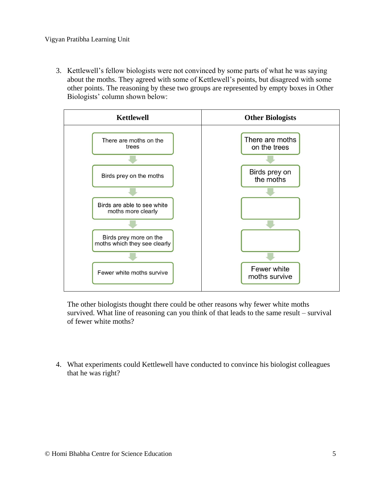3. Kettlewell's fellow biologists were not convinced by some parts of what he was saying about the moths. They agreed with some of Kettlewell's points, but disagreed with some other points. The reasoning by these two groups are represented by empty boxes in Other Biologists' column shown below:



The other biologists thought there could be other reasons why fewer white moths survived. What line of reasoning can you think of that leads to the same result – survival of fewer white moths?

4. What experiments could Kettlewell have conducted to convince his biologist colleagues that he was right?